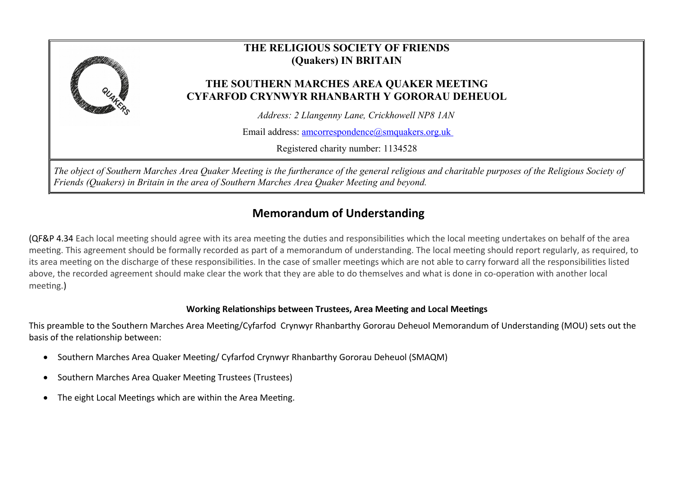

# **Memorandum of Understanding**

(QF&P 4.34 Each local meeting should agree with its area meeting the duties and responsibilities which the local meeting undertakes on behalf of the area meeting. This agreement should be formally recorded as part of a memorandum of understanding. The local meeting should report regularly, as required, to its area meeting on the discharge of these responsibilities. In the case of smaller meetings which are not able to carry forward all the responsibilities listed above, the recorded agreement should make clear the work that they are able to do themselves and what is done in co-operation with another local meeting.)

## **Working Relationships between Trustees, Area Meeting and Local Meetings**

This preamble to the Southern Marches Area Meeting/Cyfarfod Crynwyr Rhanbarthy Gororau Deheuol Memorandum of Understanding (MOU) sets out the basis of the relationship between:

- Southern Marches Area Quaker Meeting/ Cyfarfod Crynwyr Rhanbarthy Gororau Deheuol (SMAQM)
- Southern Marches Area Quaker Meeting Trustees (Trustees)
- The eight Local Meetings which are within the Area Meeting.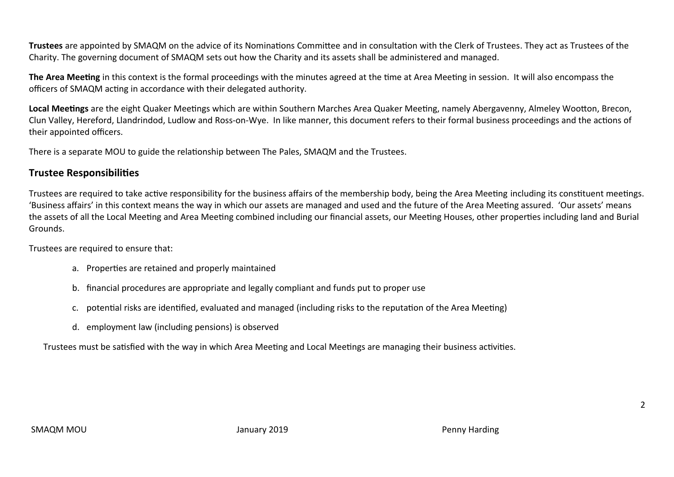**Trustees** are appointed by SMAQM on the advice of its Nominations Committee and in consultation with the Clerk of Trustees. They act as Trustees of the Charity. The governing document of SMAQM sets out how the Charity and its assets shall be administered and managed.

**The Area Meeting** in this context is the formal proceedings with the minutes agreed at the time at Area Meeting in session. It will also encompass the officers of SMAQM acting in accordance with their delegated authority.

**Local Meetings** are the eight Quaker Meetings which are within Southern Marches Area Quaker Meeting, namely Abergavenny, Almeley Wootton, Brecon, Clun Valley, Hereford, Llandrindod, Ludlow and Ross-on-Wye. In like manner, this document refers to their formal business proceedings and the actions of their appointed officers.

There is a separate MOU to guide the relationship between The Pales, SMAQM and the Trustees.

# **Trustee Responsibilities**

Trustees are required to take active responsibility for the business affairs of the membership body, being the Area Meeting including its constituent meetings. 'Business affairs' in this context means the way in which our assets are managed and used and the future of the Area Meeting assured. 'Our assets' means the assets of all the Local Meeting and Area Meeting combined including our financial assets, our Meeting Houses, other properties including land and Burial Grounds.

Trustees are required to ensure that:

- a. Properties are retained and properly maintained
- b. financial procedures are appropriate and legally compliant and funds put to proper use
- c. potential risks are identified, evaluated and managed (including risks to the reputation of the Area Meeting)
- d. employment law (including pensions) is observed

Trustees must be satisfied with the way in which Area Meeting and Local Meetings are managing their business activities.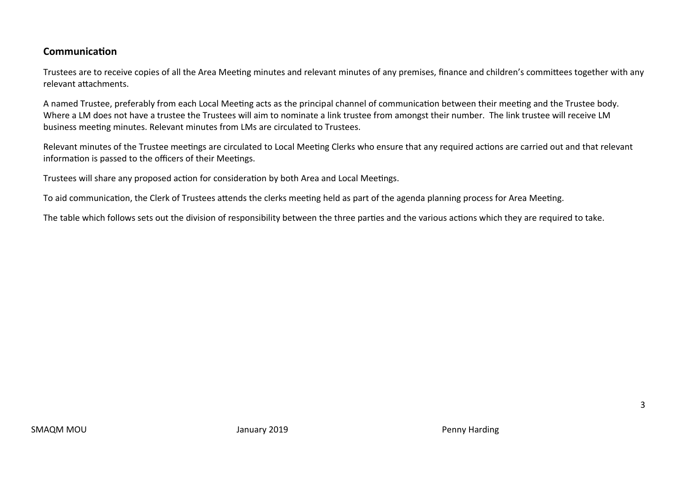# **Communication**

Trustees are to receive copies of all the Area Meeting minutes and relevant minutes of any premises, finance and children's committees together with any relevant attachments.

A named Trustee, preferably from each Local Meeting acts as the principal channel of communication between their meeting and the Trustee body. Where a LM does not have a trustee the Trustees will aim to nominate a link trustee from amongst their number. The link trustee will receive LM business meeting minutes. Relevant minutes from LMs are circulated to Trustees.

Relevant minutes of the Trustee meetings are circulated to Local Meeting Clerks who ensure that any required actions are carried out and that relevant information is passed to the officers of their Meetings.

Trustees will share any proposed action for consideration by both Area and Local Meetings.

To aid communication, the Clerk of Trustees attends the clerks meeting held as part of the agenda planning process for Area Meeting.

The table which follows sets out the division of responsibility between the three parties and the various actions which they are required to take.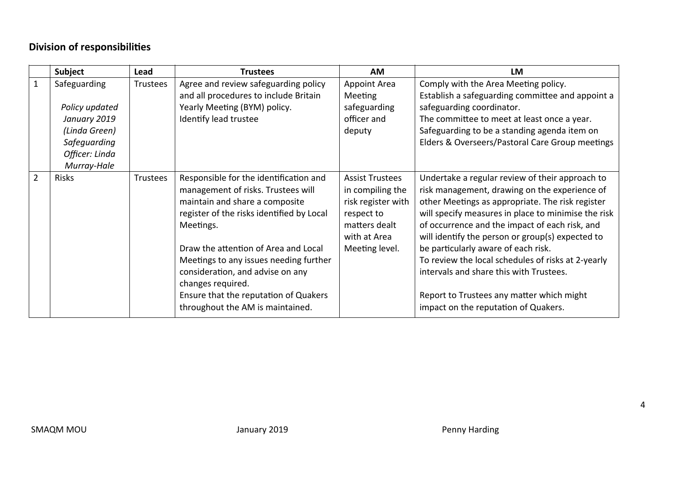# **Division of responsibilities**

|                | Subject        | Lead     | <b>Trustees</b>                                                                                                                                                                                                                                                                                                                                              | <b>AM</b>                                                                                                                         | LM                                                                                                                                                                                                                                                                                                                                                                                                                                                                                                     |
|----------------|----------------|----------|--------------------------------------------------------------------------------------------------------------------------------------------------------------------------------------------------------------------------------------------------------------------------------------------------------------------------------------------------------------|-----------------------------------------------------------------------------------------------------------------------------------|--------------------------------------------------------------------------------------------------------------------------------------------------------------------------------------------------------------------------------------------------------------------------------------------------------------------------------------------------------------------------------------------------------------------------------------------------------------------------------------------------------|
| $\mathbf{1}$   | Safeguarding   | Trustees | Agree and review safeguarding policy<br>and all procedures to include Britain                                                                                                                                                                                                                                                                                | <b>Appoint Area</b><br>Meeting                                                                                                    | Comply with the Area Meeting policy.<br>Establish a safeguarding committee and appoint a                                                                                                                                                                                                                                                                                                                                                                                                               |
|                | Policy updated |          | Yearly Meeting (BYM) policy.                                                                                                                                                                                                                                                                                                                                 | safeguarding                                                                                                                      | safeguarding coordinator.                                                                                                                                                                                                                                                                                                                                                                                                                                                                              |
|                | January 2019   |          | Identify lead trustee                                                                                                                                                                                                                                                                                                                                        | officer and                                                                                                                       | The committee to meet at least once a year.                                                                                                                                                                                                                                                                                                                                                                                                                                                            |
|                | (Linda Green)  |          |                                                                                                                                                                                                                                                                                                                                                              | deputy                                                                                                                            | Safeguarding to be a standing agenda item on                                                                                                                                                                                                                                                                                                                                                                                                                                                           |
|                | Safeguarding   |          |                                                                                                                                                                                                                                                                                                                                                              |                                                                                                                                   | Elders & Overseers/Pastoral Care Group meetings                                                                                                                                                                                                                                                                                                                                                                                                                                                        |
|                | Officer: Linda |          |                                                                                                                                                                                                                                                                                                                                                              |                                                                                                                                   |                                                                                                                                                                                                                                                                                                                                                                                                                                                                                                        |
|                | Murray-Hale    |          |                                                                                                                                                                                                                                                                                                                                                              |                                                                                                                                   |                                                                                                                                                                                                                                                                                                                                                                                                                                                                                                        |
| $\overline{2}$ | <b>Risks</b>   | Trustees | Responsible for the identification and<br>management of risks. Trustees will<br>maintain and share a composite<br>register of the risks identified by Local<br>Meetings.<br>Draw the attention of Area and Local<br>Meetings to any issues needing further<br>consideration, and advise on any<br>changes required.<br>Ensure that the reputation of Quakers | <b>Assist Trustees</b><br>in compiling the<br>risk register with<br>respect to<br>matters dealt<br>with at Area<br>Meeting level. | Undertake a regular review of their approach to<br>risk management, drawing on the experience of<br>other Meetings as appropriate. The risk register<br>will specify measures in place to minimise the risk<br>of occurrence and the impact of each risk, and<br>will identify the person or group(s) expected to<br>be particularly aware of each risk.<br>To review the local schedules of risks at 2-yearly<br>intervals and share this with Trustees.<br>Report to Trustees any matter which might |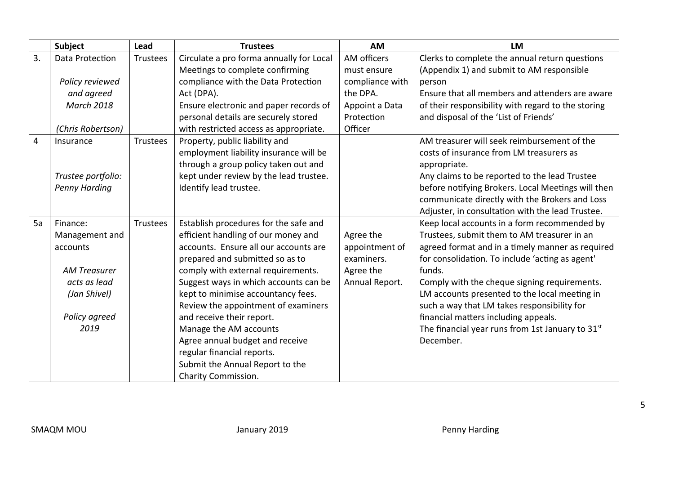|    | Subject              | Lead            | <b>Trustees</b>                                                          | <b>AM</b>                    | LM                                                                                                  |
|----|----------------------|-----------------|--------------------------------------------------------------------------|------------------------------|-----------------------------------------------------------------------------------------------------|
| 3. | Data Protection      | <b>Trustees</b> | Circulate a pro forma annually for Local                                 | AM officers                  | Clerks to complete the annual return questions                                                      |
|    |                      |                 | Meetings to complete confirming                                          | must ensure                  | (Appendix 1) and submit to AM responsible                                                           |
|    | Policy reviewed      |                 | compliance with the Data Protection                                      | compliance with              | person                                                                                              |
|    | and agreed           |                 | Act (DPA).                                                               | the DPA.                     | Ensure that all members and attenders are aware                                                     |
|    | <b>March 2018</b>    |                 | Ensure electronic and paper records of                                   | Appoint a Data               | of their responsibility with regard to the storing                                                  |
|    |                      |                 | personal details are securely stored                                     | Protection                   | and disposal of the 'List of Friends'                                                               |
|    | (Chris Robertson)    |                 | with restricted access as appropriate.                                   | Officer                      |                                                                                                     |
| 4  | Insurance            | Trustees        | Property, public liability and                                           |                              | AM treasurer will seek reimbursement of the                                                         |
|    |                      |                 | employment liability insurance will be                                   |                              | costs of insurance from LM treasurers as                                                            |
|    |                      |                 | through a group policy taken out and                                     |                              | appropriate.                                                                                        |
|    | Trustee portfolio:   |                 | kept under review by the lead trustee.                                   |                              | Any claims to be reported to the lead Trustee                                                       |
|    | <b>Penny Harding</b> |                 | Identify lead trustee.                                                   |                              | before notifying Brokers. Local Meetings will then                                                  |
|    |                      |                 |                                                                          |                              | communicate directly with the Brokers and Loss                                                      |
|    |                      |                 |                                                                          |                              | Adjuster, in consultation with the lead Trustee.                                                    |
| 5a | Finance:             | Trustees        | Establish procedures for the safe and                                    |                              | Keep local accounts in a form recommended by                                                        |
|    | Management and       |                 | efficient handling of our money and                                      | Agree the                    | Trustees, submit them to AM treasurer in an                                                         |
|    | accounts             |                 | accounts. Ensure all our accounts are<br>prepared and submitted so as to | appointment of<br>examiners. | agreed format and in a timely manner as required<br>for consolidation. To include 'acting as agent' |
|    | <b>AM Treasurer</b>  |                 | comply with external requirements.                                       | Agree the                    | funds.                                                                                              |
|    | acts as lead         |                 | Suggest ways in which accounts can be                                    | Annual Report.               | Comply with the cheque signing requirements.                                                        |
|    | (Jan Shivel)         |                 | kept to minimise accountancy fees.                                       |                              | LM accounts presented to the local meeting in                                                       |
|    |                      |                 | Review the appointment of examiners                                      |                              | such a way that LM takes responsibility for                                                         |
|    | Policy agreed        |                 | and receive their report.                                                |                              | financial matters including appeals.                                                                |
|    | 2019                 |                 | Manage the AM accounts                                                   |                              | The financial year runs from 1st January to $31st$                                                  |
|    |                      |                 | Agree annual budget and receive                                          |                              | December.                                                                                           |
|    |                      |                 | regular financial reports.                                               |                              |                                                                                                     |
|    |                      |                 | Submit the Annual Report to the                                          |                              |                                                                                                     |
|    |                      |                 | Charity Commission.                                                      |                              |                                                                                                     |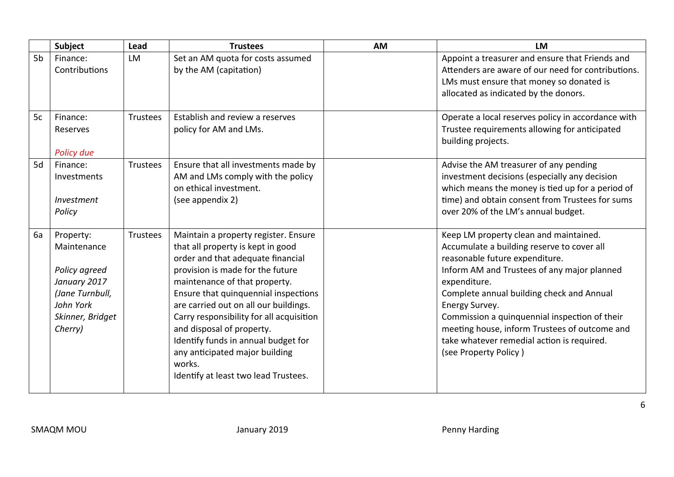|                | Subject                                                                                                                  | Lead            | <b>Trustees</b>                                                                                                                                                                                                                                                                                                                                                                                                                                                          | <b>AM</b> | <b>LM</b>                                                                                                                                                                                                                                                                                                                                                                                                                     |
|----------------|--------------------------------------------------------------------------------------------------------------------------|-----------------|--------------------------------------------------------------------------------------------------------------------------------------------------------------------------------------------------------------------------------------------------------------------------------------------------------------------------------------------------------------------------------------------------------------------------------------------------------------------------|-----------|-------------------------------------------------------------------------------------------------------------------------------------------------------------------------------------------------------------------------------------------------------------------------------------------------------------------------------------------------------------------------------------------------------------------------------|
| 5 <sub>b</sub> | Finance:<br>Contributions                                                                                                | <b>LM</b>       | Set an AM quota for costs assumed<br>by the AM (capitation)                                                                                                                                                                                                                                                                                                                                                                                                              |           | Appoint a treasurer and ensure that Friends and<br>Attenders are aware of our need for contributions.<br>LMs must ensure that money so donated is<br>allocated as indicated by the donors.                                                                                                                                                                                                                                    |
| 5c             | Finance:<br>Reserves<br>Policy due                                                                                       | Trustees        | Establish and review a reserves<br>policy for AM and LMs.                                                                                                                                                                                                                                                                                                                                                                                                                |           | Operate a local reserves policy in accordance with<br>Trustee requirements allowing for anticipated<br>building projects.                                                                                                                                                                                                                                                                                                     |
| 5d             | Finance:<br>Investments<br>Investment<br>Policy                                                                          | <b>Trustees</b> | Ensure that all investments made by<br>AM and LMs comply with the policy<br>on ethical investment.<br>(see appendix 2)                                                                                                                                                                                                                                                                                                                                                   |           | Advise the AM treasurer of any pending<br>investment decisions (especially any decision<br>which means the money is tied up for a period of<br>time) and obtain consent from Trustees for sums<br>over 20% of the LM's annual budget.                                                                                                                                                                                         |
| 6a             | Property:<br>Maintenance<br>Policy agreed<br>January 2017<br>(Jane Turnbull,<br>John York<br>Skinner, Bridget<br>Cherry) | Trustees        | Maintain a property register. Ensure<br>that all property is kept in good<br>order and that adequate financial<br>provision is made for the future<br>maintenance of that property.<br>Ensure that quinquennial inspections<br>are carried out on all our buildings.<br>Carry responsibility for all acquisition<br>and disposal of property.<br>Identify funds in annual budget for<br>any anticipated major building<br>works.<br>Identify at least two lead Trustees. |           | Keep LM property clean and maintained.<br>Accumulate a building reserve to cover all<br>reasonable future expenditure.<br>Inform AM and Trustees of any major planned<br>expenditure.<br>Complete annual building check and Annual<br>Energy Survey.<br>Commission a quinquennial inspection of their<br>meeting house, inform Trustees of outcome and<br>take whatever remedial action is required.<br>(see Property Policy) |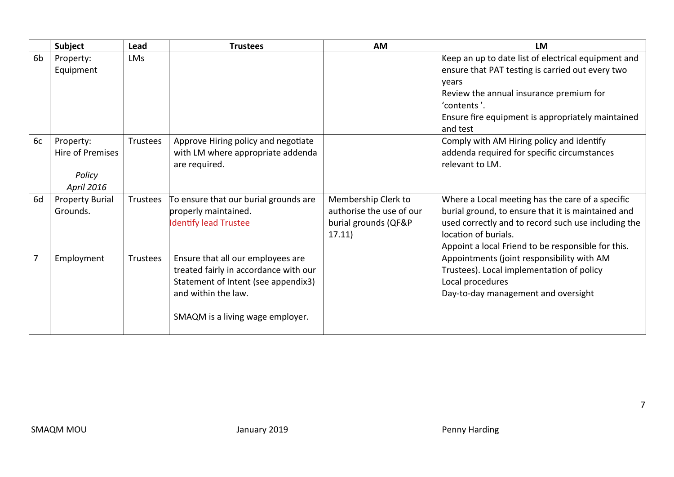|                | Subject                                               | Lead       | <b>Trustees</b>                                                                                                                                                              | <b>AM</b>                                                                         | LM                                                                                                                                                                                                                                          |
|----------------|-------------------------------------------------------|------------|------------------------------------------------------------------------------------------------------------------------------------------------------------------------------|-----------------------------------------------------------------------------------|---------------------------------------------------------------------------------------------------------------------------------------------------------------------------------------------------------------------------------------------|
| 6b             | Property:<br>Equipment                                | <b>LMs</b> |                                                                                                                                                                              |                                                                                   | Keep an up to date list of electrical equipment and<br>ensure that PAT testing is carried out every two                                                                                                                                     |
|                |                                                       |            |                                                                                                                                                                              |                                                                                   | years<br>Review the annual insurance premium for<br>'contents'.<br>Ensure fire equipment is appropriately maintained                                                                                                                        |
|                |                                                       |            |                                                                                                                                                                              |                                                                                   | and test                                                                                                                                                                                                                                    |
| 6c             | Property:<br>Hire of Premises<br>Policy<br>April 2016 | Trustees   | Approve Hiring policy and negotiate<br>with LM where appropriate addenda<br>are required.                                                                                    |                                                                                   | Comply with AM Hiring policy and identify<br>addenda required for specific circumstances<br>relevant to LM.                                                                                                                                 |
| 6d             | <b>Property Burial</b><br>Grounds.                    | Trustees   | To ensure that our burial grounds are<br>properly maintained.<br><b>Identify lead Trustee</b>                                                                                | Membership Clerk to<br>authorise the use of our<br>burial grounds (QF&P<br>17.11) | Where a Local meeting has the care of a specific<br>burial ground, to ensure that it is maintained and<br>used correctly and to record such use including the<br>location of burials.<br>Appoint a local Friend to be responsible for this. |
| $\overline{7}$ | Employment                                            | Trustees   | Ensure that all our employees are<br>treated fairly in accordance with our<br>Statement of Intent (see appendix3)<br>and within the law.<br>SMAQM is a living wage employer. |                                                                                   | Appointments (joint responsibility with AM<br>Trustees). Local implementation of policy<br>Local procedures<br>Day-to-day management and oversight                                                                                          |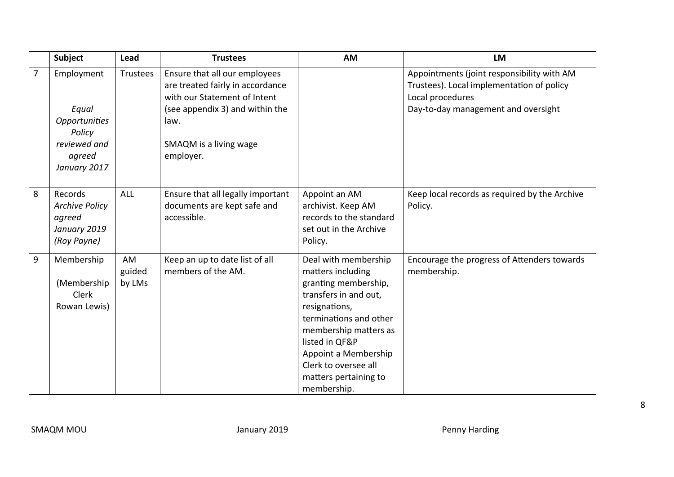|                | Subject                                                                   | Lead                   | <b>Trustees</b>                                                                                                                              | <b>AM</b>                                                                                                                                                                                                                                                                | <b>LM</b>                                                                                                                                          |
|----------------|---------------------------------------------------------------------------|------------------------|----------------------------------------------------------------------------------------------------------------------------------------------|--------------------------------------------------------------------------------------------------------------------------------------------------------------------------------------------------------------------------------------------------------------------------|----------------------------------------------------------------------------------------------------------------------------------------------------|
| $\overline{7}$ | Employment<br>Equal<br><b>Opportunities</b><br>Policy                     | <b>Trustees</b>        | Ensure that all our employees<br>are treated fairly in accordance<br>with our Statement of Intent<br>(see appendix 3) and within the<br>law. |                                                                                                                                                                                                                                                                          | Appointments (joint responsibility with AM<br>Trustees). Local implementation of policy<br>Local procedures<br>Day-to-day management and oversight |
|                | reviewed and<br>agreed<br>January 2017                                    |                        | SMAQM is a living wage<br>employer.                                                                                                          |                                                                                                                                                                                                                                                                          |                                                                                                                                                    |
| 8              | Records<br><b>Archive Policy</b><br>agreed<br>January 2019<br>(Roy Payne) | <b>ALL</b>             | Ensure that all legally important<br>documents are kept safe and<br>accessible.                                                              | Appoint an AM<br>archivist. Keep AM<br>records to the standard<br>set out in the Archive<br>Policy.                                                                                                                                                                      | Keep local records as required by the Archive<br>Policy.                                                                                           |
| 9              | Membership<br>(Membership)<br>Clerk<br>Rowan Lewis)                       | AM<br>guided<br>by LMs | Keep an up to date list of all<br>members of the AM.                                                                                         | Deal with membership<br>matters including<br>granting membership,<br>transfers in and out,<br>resignations,<br>terminations and other<br>membership matters as<br>listed in QF&P<br>Appoint a Membership<br>Clerk to oversee all<br>matters pertaining to<br>membership. | Encourage the progress of Attenders towards<br>membership.                                                                                         |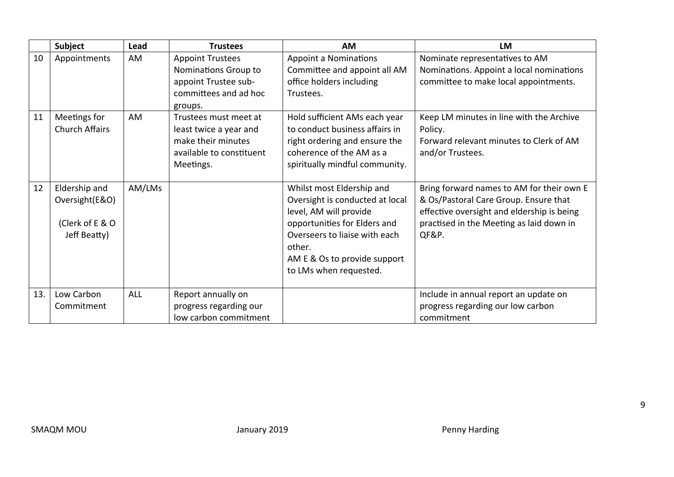|     | <b>Subject</b>                                                     | Lead       | <b>Trustees</b>                                                                                                | <b>AM</b>                                                                                                                                                                                                                   | <b>LM</b>                                                                                                                                                                             |
|-----|--------------------------------------------------------------------|------------|----------------------------------------------------------------------------------------------------------------|-----------------------------------------------------------------------------------------------------------------------------------------------------------------------------------------------------------------------------|---------------------------------------------------------------------------------------------------------------------------------------------------------------------------------------|
| 10  | Appointments                                                       | AM         | <b>Appoint Trustees</b><br>Nominations Group to<br>appoint Trustee sub-<br>committees and ad hoc<br>groups.    | <b>Appoint a Nominations</b><br>Committee and appoint all AM<br>office holders including<br>Trustees.                                                                                                                       | Nominate representatives to AM<br>Nominations. Appoint a local nominations<br>committee to make local appointments.                                                                   |
| 11  | Meetings for<br><b>Church Affairs</b>                              | <b>AM</b>  | Trustees must meet at<br>least twice a year and<br>make their minutes<br>available to constituent<br>Meetings. | Hold sufficient AMs each year<br>to conduct business affairs in<br>right ordering and ensure the<br>coherence of the AM as a<br>spiritually mindful community.                                                              | Keep LM minutes in line with the Archive<br>Policy.<br>Forward relevant minutes to Clerk of AM<br>and/or Trustees.                                                                    |
| 12  | Eldership and<br>Oversight(E&O)<br>(Clerk of E & O<br>Jeff Beatty) | AM/LMs     |                                                                                                                | Whilst most Eldership and<br>Oversight is conducted at local<br>level, AM will provide<br>opportunities for Elders and<br>Overseers to liaise with each<br>other.<br>AM E & Os to provide support<br>to LMs when requested. | Bring forward names to AM for their own E<br>& Os/Pastoral Care Group. Ensure that<br>effective oversight and eldership is being<br>practised in the Meeting as laid down in<br>QF&P. |
| 13. | Low Carbon<br>Commitment                                           | <b>ALL</b> | Report annually on<br>progress regarding our<br>low carbon commitment                                          |                                                                                                                                                                                                                             | Include in annual report an update on<br>progress regarding our low carbon<br>commitment                                                                                              |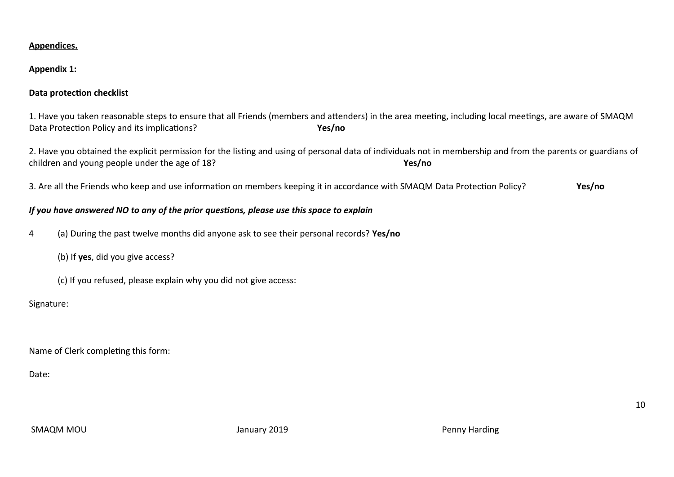#### **Appendices.**

#### **Appendix 1:**

### **Data protection checklist**

1. Have you taken reasonable steps to ensure that all Friends (members and attenders) in the area meeting, including local meetings, are aware of SMAQM Data Protection Policy and its implications? **Yes/no** 

2. Have you obtained the explicit permission for the listing and using of personal data of individuals not in membership and from the parents or guardians of children and young people under the age of 18? **Yes/no** 

3. Are all the Friends who keep and use information on members keeping it in accordance with SMAQM Data Protection Policy? **Yes/no** 

#### *If you have answered NO to any of the prior questions, please use this space to explain*

- 4 (a) During the past twelve months did anyone ask to see their personal records? **Yes/no** 
	- (b) If **yes**, did you give access?
	- (c) If you refused, please explain why you did not give access:

#### Signature:

Name of Clerk completing this form:

Date: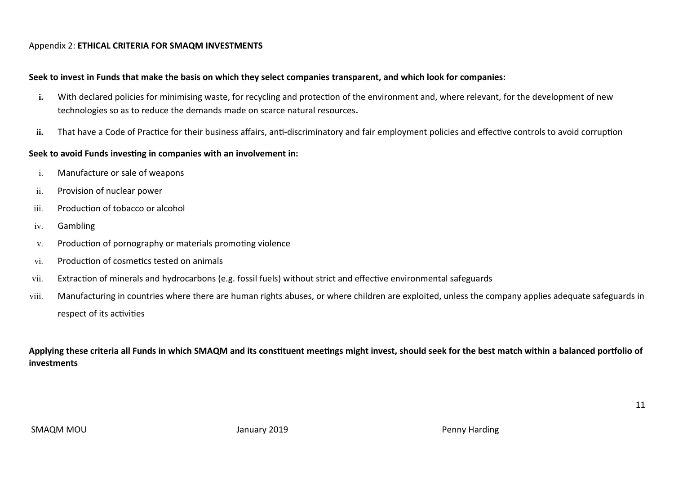#### Appendix 2: **ETHICAL CRITERIA FOR SMAQM INVESTMENTS**

#### **Seek to invest in Funds that make the basis on which they select companies transparent, and which look for companies:**

- i. With declared policies for minimising waste, for recycling and protection of the environment and, where relevant, for the development of new technologies so as to reduce the demands made on scarce natural resources**.**
- **ii.** That have a Code of Practice for their business affairs, anti-discriminatory and fair employment policies and effective controls to avoid corruption

#### **Seek to avoid Funds investing in companies with an involvement in:**

- i. Manufacture or sale of weapons
- ii. Provision of nuclear power
- iii. Production of tobacco or alcohol
- iv. Gambling
- v. Production of pornography or materials promoting violence
- vi. Production of cosmetics tested on animals
- vii. Extraction of minerals and hydrocarbons (e.g. fossil fuels) without strict and effective environmental safeguards
- viii. Manufacturing in countries where there are human rights abuses, or where children are exploited, unless the company applies adequate safeguards in respect of its activities

**Applying these criteria all Funds in which SMAQM and its constituent meetings might invest, should seek for the best match within a balanced portfolio of investments**